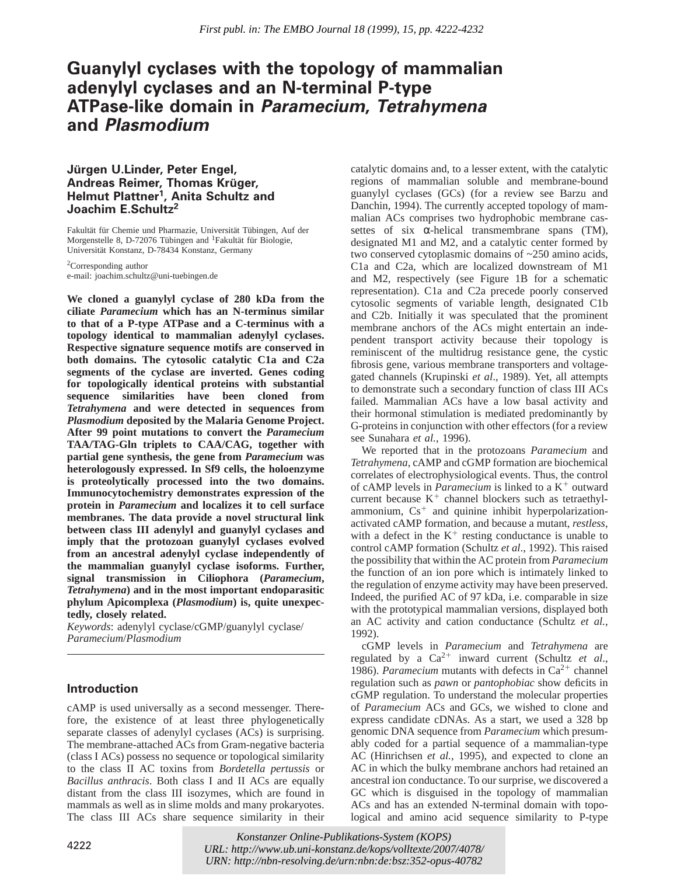# **Guanylyl cyclases with the topology of mammalian adenylyl cyclases and an N-terminal P-type ATPase-like domain in Paramecium, Tetrahymena and Plasmodium**

# **Ju¨rgen U.Linder, Peter Engel, Andreas Reimer, Thomas Kru¨ ger, Helmut Plattner1, Anita Schultz and Joachim E.Schultz2**

Fakultät für Chemie und Pharmazie, Universität Tübingen, Auf der Morgenstelle 8, D-72076 Tübingen and <sup>1</sup>Fakultät für Biologie, Universität Konstanz, D-78434 Konstanz, Germany

2Corresponding author e-mail: joachim.schultz@uni-tuebingen.de

**We cloned a guanylyl cyclase of 280 kDa from the ciliate** *Paramecium* **which has an N-terminus similar to that of a P-type ATPase and a C-terminus with a topology identical to mammalian adenylyl cyclases. Respective signature sequence motifs are conserved in both domains. The cytosolic catalytic C1a and C2a segments of the cyclase are inverted. Genes coding for topologically identical proteins with substantial sequence similarities have been cloned from** *Tetrahymena* **and were detected in sequences from** *Plasmodium* **deposited by the Malaria Genome Project. After 99 point mutations to convert the** *Paramecium* **TAA/TAG-Gln triplets to CAA/CAG, together with partial gene synthesis, the gene from** *Paramecium* **was heterologously expressed. In Sf9 cells, the holoenzyme is proteolytically processed into the two domains. Immunocytochemistry demonstrates expression of the protein in** *Paramecium* **and localizes it to cell surface membranes. The data provide a novel structural link between class III adenylyl and guanylyl cyclases and imply that the protozoan guanylyl cyclases evolved from an ancestral adenylyl cyclase independently of the mammalian guanylyl cyclase isoforms. Further, signal transmission in Ciliophora (***Paramecium***,** *Tetrahymena***) and in the most important endoparasitic phylum Apicomplexa (***Plasmodium***) is, quite unexpectedly, closely related.**

*Keywords*: adenylyl cyclase/cGMP/guanylyl cyclase/ *Paramecium*/*Plasmodium*

# **Introduction**

cAMP is used universally as a second messenger. Therefore, the existence of at least three phylogenetically separate classes of adenylyl cyclases (ACs) is surprising. The membrane-attached ACs from Gram-negative bacteria (class I ACs) possess no sequence or topological similarity to the class II AC toxins from *Bordetella pertussis* or *Bacillus anthracis*. Both class I and II ACs are equally distant from the class III isozymes, which are found in mammals as well as in slime molds and many prokaryotes. The class III ACs share sequence similarity in their

catalytic domains and, to a lesser extent, with the catalytic regions of mammalian soluble and membrane-bound guanylyl cyclases (GCs) (for a review see Barzu and Danchin, 1994). The currently accepted topology of mammalian ACs comprises two hydrophobic membrane cassettes of six  $\alpha$ -helical transmembrane spans (TM), designated M1 and M2, and a catalytic center formed by two conserved cytoplasmic domains of ~250 amino acids, C1a and C2a, which are localized downstream of M1 and M2, respectively (see Figure 1B for a schematic representation). C1a and C2a precede poorly conserved cytosolic segments of variable length, designated C1b and C2b. Initially it was speculated that the prominent membrane anchors of the ACs might entertain an independent transport activity because their topology is reminiscent of the multidrug resistance gene, the cystic fibrosis gene, various membrane transporters and voltagegated channels (Krupinski *et al*., 1989). Yet, all attempts to demonstrate such a secondary function of class III ACs failed. Mammalian ACs have a low basal activity and their hormonal stimulation is mediated predominantly by G-proteins in conjunction with other effectors (for a review see Sunahara *et al.*, 1996).

We reported that in the protozoans *Paramecium* and *Tetrahymena*, cAMP and cGMP formation are biochemical correlates of electrophysiological events. Thus, the control of cAMP levels in *Paramecium* is linked to a  $K^+$  outward current because  $K^+$  channel blockers such as tetraethylammonium,  $Cs<sup>+</sup>$  and quinine inhibit hyperpolarizationactivated cAMP formation, and because a mutant, *restless*, with a defect in the  $K^+$  resting conductance is unable to control cAMP formation (Schultz *et al*., 1992). This raised the possibility that within the AC protein from *Paramecium* the function of an ion pore which is intimately linked to the regulation of enzyme activity may have been preserved. Indeed, the purified AC of 97 kDa, i.e. comparable in size with the prototypical mammalian versions, displayed both an AC activity and cation conductance (Schultz *et al.*, 1992).

cGMP levels in *Paramecium* and *Tetrahymena* are regulated by a  $Ca^{2+}$  inward current (Schultz *et al.*, 1986). *Paramecium* mutants with defects in  $Ca^{2+}$  channel regulation such as *pawn* or *pantophobiac* show deficits in cGMP regulation. To understand the molecular properties of *Paramecium* ACs and GCs, we wished to clone and express candidate cDNAs. As a start, we used a 328 bp genomic DNA sequence from *Paramecium* which presumably coded for a partial sequence of a mammalian-type AC (Hinrichsen *et al.*, 1995), and expected to clone an AC in which the bulky membrane anchors had retained an ancestral ion conductance. To our surprise, we discovered a GC which is disguised in the topology of mammalian ACs and has an extended N-terminal domain with topological and amino acid sequence similarity to P-type

4222 © European Molecular Biology Organization *URL:<http://www.ub.uni-konstanz.de/kops/volltexte/2007/4078/> Konstanzer Online-Publikations-System (KOPS) URN:<http://nbn-resolving.de/urn:nbn:de:bsz:352-opus-40782>*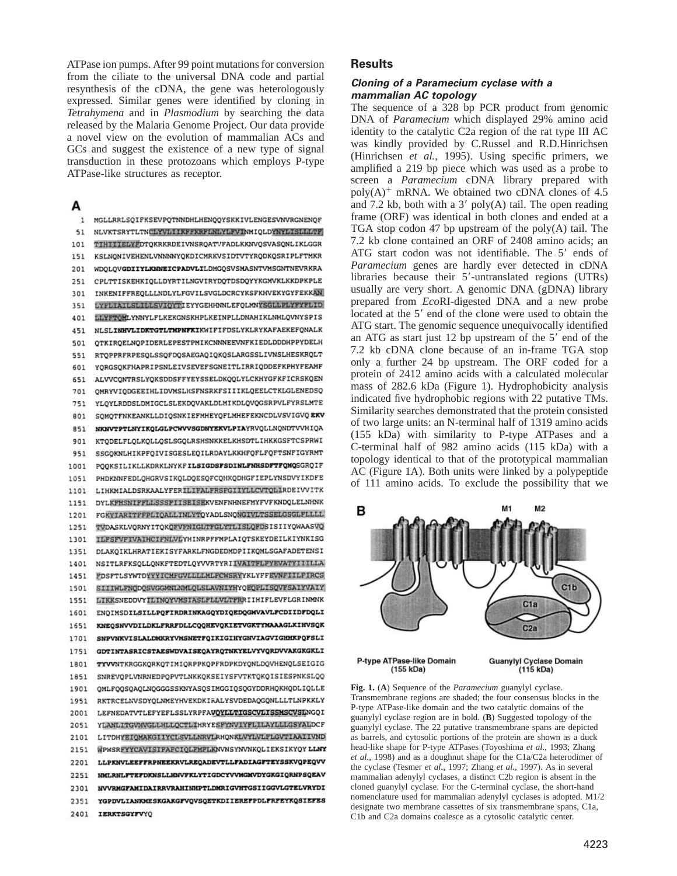ATPase ion pumps. After 99 point mutations for conversion from the ciliate to the universal DNA code and partial resynthesis of the cDNA, the gene was heterologously expressed. Similar genes were identified by cloning in *Tetrahymena* and in *Plasmodium* by searching the data released by the Malaria Genome Project. Our data provide a novel view on the evolution of mammalian ACs and GCs and suggest the existence of a new type of signal transduction in these protozoans which employs P-type ATPase-like structures as receptor.

# А

MGLLRRLSOIFKSEVPOTNNDHLHENOOYSKKIVLENGESVNVRGNENOF  $51$ NLVKTSRYTLTNCLYVLIIKFFKRFLNLYLFVINMIQLDYNYLISLLLTF THITTELYFDTOKRKRDEIVNSROATVFADLKKNVOSVASONLIKLGGR 101 151 KSLNONIVEHENLVNNNNYOKDICMRKVSIDTVTYRODKOSRIPLFTMKR 201 WDQLQVGDIIYLKNNEICPADVLILDMGQSVSMASNTVMSGNTNEVRKRA 251 CPLTTISKEHKIOLLDYRTILNGVIRYDOTDSDOYYKGMVKLKKDPKPLE INKENIFFREQLLLNDLYLFGVILSVGLDCRCYKSFKHVEKYGYFEKKAN 301 LYFLIAILSLILLSVIOYTIEYYGEHHNNLEFQLMNYSGLLPLYFYFLID 351 LLYFTOMLYNNYLFLKEKGNSKHPLKEINPLLDNAHIKLNHLQVNYSPIS 401 NLSLINHVLIDKTGTLTMPNFKIKWIFIFDSLYKLRYKAFAEKEFQNALK 451 QTKIRQELNQPIDERLEPESTPMIKCNNNEEVNFKIEDLDDDHPPYDELH 501 RTQPPRFRPESQLSSQFDQSAEGAQIQKQSLARGSSLIVNSLHESKRQLT 551 YORGSQKFHAPRIPSNLEIVSEVEFSGNEITLIRRIQDDEFKPHYFEAMF 601 ALVVCONTRSLYQKSDDSFFYEYSSELDKQQLYLCKHYGFKFICRSKQEN 651 QMRYVIQDGEEIHLIDVMSLHSFNSRKFSIIIKLQEELCTKLGLENEDSQ 701 YLQYLRDDSLDMIGCLSLEKDQVAKLDLMIKDLQVQGSRPVLFYRSLMTE 751 SOMOTFNKEANKLLDIQSNKIEFMHEYQFLMHEFEKNCDLVSVIGVQ EKV 801 NKNVTPTLNYIKOLGLPCWVVSGDNYEKVLPIAYRVOLLNONDTVVHIQA 851 KTODELFLOLKOLLOSLSGOLRSHSNKKELKHSDTLIHKKGSFTCSPRWI 901 SSGOKNLHIKPFOIVISGESLEOILRDAYLKKHFOFLFOFTSNFIGYRMT 951 POOKSILIKLLKDRKLNYKFILSIGDSFSDINLFNHSDFTFQMQSGRQIF 1001 PHDKNNFEDLOHGRVSIKOLDOESOFCOHKODHGFIEPLYNSDVYIKDFE 1051 1101 LIHKMIALDSRKAALYFERILIFALFRSFGIIYLLCVTQLIRDEIVVITK DYLKFHSNIFFLLSSSFIISEISEKVENFNHNEFMYFVFKNDQLELNHNK 1151 FGKYIARITPPPLIQALLINLYTQYADLSNQNGIVLTSSELGSGLFLLLL 1201 TVDASKLVORNYITOKOFVFNIGLTFGLYTLISLQFDSISIIYQWAASVQ 1251 **ILFSFVFIVAIHCIFNLVLYHINRPFFMPLAIQTSKEYDEILKIYNKISG** 1301 DLAKQIKLHRATIEKISYFARKLFNGDEDMDPIIKQMLSGAFADETENSI 1351 1401 NSITLRFKSQLLQNKFTEDTLQYVVRTYRIIVAITFLFYEVATYIIILLA 1451 **FDSFTLSYWTDYYYICMFGVLLLLMLFCWSRYYKLYFFEVNFIILFIRCS** 1501 SIIIWLFNQDQSVGGMNLNMLQLSLAVNIYHYQEQPLISQVFSAIYVAIY 1551 LIKKSNEDDVYILINQYVMSIASLFLLVLTFRRIIHIFLEVFLGRINMNK 1601 ENOIMSDILSILLPOFIRDRINKAGOYDIQEDQGMVAVLFCDIIDFDQLI 1651 KNEOSNVVDILDKLFRRFDLLCOOHEVOKIETVGKTYMAAAGLKIHVSQK SNPVNKVISLALDMKRYVMSNETFOIKIGIHYGNVIAGVIGHHKPOFSLI 1701 GDTINTASRICSTAESWDVAISEQAYRQTNKYELVYVQRDVVAKGKGKLI 1751 TYVVNTKRGGKQRKQTIMIQRPPKQPFRDPKDYQNLDQVHENQLSEIGIG 1801 SNREVOPLVNRNEDPOPVTLNKKQKSEIYSFVTKTQKQISIESPNKSLQQ 1851 QMLFQQSQAQLNQGGGSSKNYASQSIMGGIQSQGYDDRHQKHQDLIQLLE 1901 RKTRCELNVSDYQLNMEYHVEKDKIRALYSVDEDAQGQNLLLTLNPKKLY 1951 2001 LEFNEDATVTLEFYEFLSSLYRPFAVQYLLTIGSCVLISSMSCVSLNGQI 2051 YLANLITGVMVGLLHLLQCTLIHRYESFYNVIYFLILAYLLLGSYALDCF LITDHYEIQMAKGIIYCLSVLLNRVLRHQNKLVYLVLFLGVTIAAIIVND 2101 WPWSRFYYCAVISIFAFCIQLFMFLKNVNSYNVNKQLIEKSIKYQYLLMY 2151 2201 LLPKNVLEEFFRPNEEKRVLREQADEVTLLFADIAGFTEYSSKVQPEQVV NMLRNLFTEFDKNSLLHNVFKLYTIGDCYVVMGMVDYGKGIQRNPSQEAV 2251 NVVRMGFAMIDAIRRVRAHINHPTLDMRIGVHTGSIIGGVLGTELVRYDI 2301 YGPDVLIANKMESKGAKGFVOVSOETKDIIEREFPDLFRFEYKQSIEFES 2351 2401 IERKTSGYFVYO

### **Results**

### **Cloning of <sup>a</sup> Paramecium cyclase with <sup>a</sup> mammalian AC topology**

The sequence of a 328 bp PCR product from genomic DNA of *Paramecium* which displayed 29% amino acid identity to the catalytic C2a region of the rat type III AC was kindly provided by C.Russel and R.D.Hinrichsen (Hinrichsen *et al.*, 1995). Using specific primers, we amplified a 219 bp piece which was used as a probe to screen a *Paramecium* cDNA library prepared with  $poly(A)^+$  mRNA. We obtained two cDNA clones of 4.5 and 7.2 kb, both with a  $3'$  poly(A) tail. The open reading frame (ORF) was identical in both clones and ended at a TGA stop codon 47 bp upstream of the poly(A) tail. The 7.2 kb clone contained an ORF of 2408 amino acids; an ATG start codon was not identifiable. The 5' ends of *Paramecium* genes are hardly ever detected in cDNA libraries because their  $5'$ -untranslated regions (UTRs) usually are very short. A genomic DNA (gDNA) library prepared from *Eco*RI-digested DNA and a new probe located at the 5' end of the clone were used to obtain the ATG start. The genomic sequence unequivocally identified an ATG as start just 12 bp upstream of the  $5'$  end of the 7.2 kb cDNA clone because of an in-frame TGA stop only a further 24 bp upstream. The ORF coded for a protein of 2412 amino acids with a calculated molecular mass of 282.6 kDa (Figure 1). Hydrophobicity analysis indicated five hydrophobic regions with 22 putative TMs. Similarity searches demonstrated that the protein consisted of two large units: an N-terminal half of 1319 amino acids (155 kDa) with similarity to P-type ATPases and a C-terminal half of 982 amino acids (115 kDa) with a topology identical to that of the prototypical mammalian AC (Figure 1A). Both units were linked by a polypeptide of 111 amino acids. To exclude the possibility that we



**Fig. 1.** (**A**) Sequence of the *Paramecium* guanylyl cyclase. Transmembrane regions are shaded; the four consensus blocks in the P-type ATPase-like domain and the two catalytic domains of the guanylyl cyclase region are in bold. (**B**) Suggested topology of the guanylyl cyclase. The 22 putative transmembrane spans are depicted as barrels, and cytosolic portions of the protein are shown as a duck head-like shape for P-type ATPases (Toyoshima *et al.*, 1993; Zhang *et al.*, 1998) and as a doughnut shape for the C1a/C2a heterodimer of the cyclase (Tesmer *et al.*, 1997; Zhang *et al.*, 1997). As in several mammalian adenylyl cyclases, a distinct C2b region is absent in the cloned guanylyl cyclase. For the C-terminal cyclase, the short-hand nomenclature used for mammalian adenylyl cyclases is adopted. M1/2 designate two membrane cassettes of six transmembrane spans, C1a, C1b and C2a domains coalesce as a cytosolic catalytic center.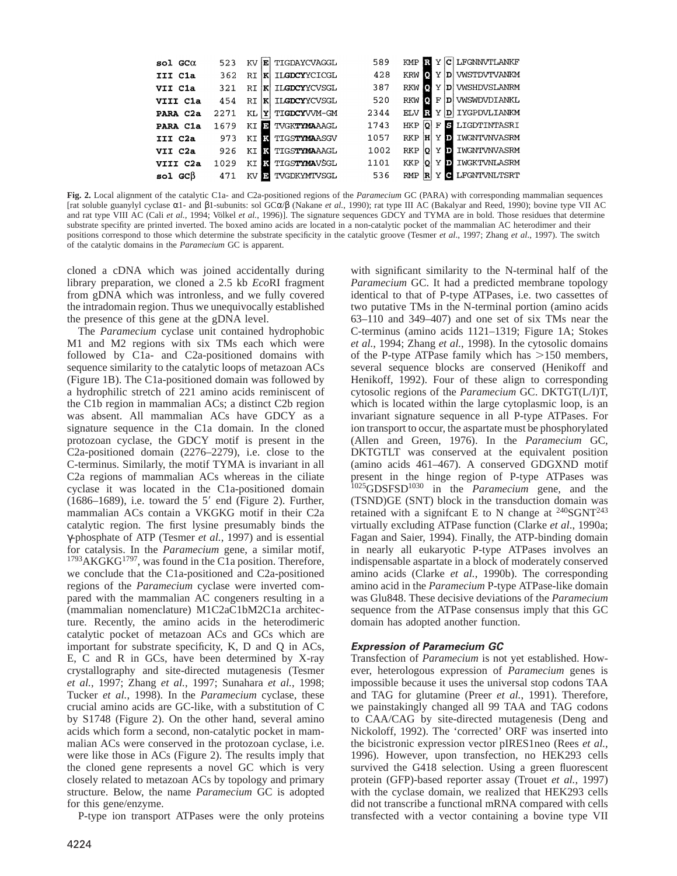| $sol$ GC $\alpha$ | 523  | E<br>KV          | TIGDAYCVAGGL          | 589  | <b>KMP</b>         |         | R Y C LFGNNVTLANKF      |
|-------------------|------|------------------|-----------------------|------|--------------------|---------|-------------------------|
| III Cla           | 362  | lK.<br><b>RT</b> | ILGDCYYCICGL          | 428  | <b>KRW</b><br>м    | Y       | D  VWSTDVTVANKM         |
| VII Cla           | 321  | RT.<br>K         | ILGDCYYCVSGL          | 387  | - 01<br>RKW        | Y       | D   VWSHDVSLANRM        |
| VIII Cla          | 454  | K<br>RI          | ILGDCYYCVSGL          | 520  | Ю<br><b>RKW</b>    | F       | D   VWSWDVDIANKL        |
| PARA C2a          | 2271 | Y<br>ΚL          | TIGDCYVVM-GM          | 2344 | R<br><b>ELV</b>    | Y       | D IYGPDVLIANKM          |
| PARA Cla          | 1679 | л<br>КT          | TVGK <b>TYMA</b> AAGL | 1743 | lol.<br><b>HKP</b> | F       | S LIGDTINTASRI          |
| III C2a           | 973  | к<br>КT          | TIGSTYMAASGV          | 1057 | IнI<br><b>RKP</b>  |         | Y <b>D</b> IWGNTVNVASRM |
| VII C2a           | 926  | м<br>КT          | TIGS <b>TYMA</b> AAGL | 1002 | <b>RKP</b><br>lo.  | ы<br>v  | IWGNTVNVASRM            |
| VIII C2a          | 1029 | ĸ<br>ΚT          | TIGS <b>TYMA</b> VŠGL | 1101 | <b>KKP</b><br>юI   | Y<br>D. | IWGKTVNLASRM            |
| $sol$ GC $\beta$  | 471  | IP.<br>ΚV        | TVGDKYMTVSGL          | 536  | <b>RMP</b><br>R    | Y<br>c  | <b>LFGNTVNLTSRT</b>     |

**Fig. 2.** Local alignment of the catalytic C1a- and C2a-positioned regions of the *Paramecium* GC (PARA) with corresponding mammalian sequences [rat soluble guanylyl cyclase α1- and β1-subunits: sol GCα/β (Nakane *et al.*, 1990); rat type III AC (Bakalyar and Reed, 1990); bovine type VII AC and rat type VIII AC (Cali *et al.*, 1994; Völkel *et al.*, 1996)]. The signature sequences GDCY and TYMA are in bold. Those residues that determine substrate specifity are printed inverted. The boxed amino acids are located in a non-catalytic pocket of the mammalian AC heterodimer and their positions correspond to those which determine the substrate specificity in the catalytic groove (Tesmer *et al*., 1997; Zhang *et al*., 1997). The switch of the catalytic domains in the *Paramecium* GC is apparent.

cloned a cDNA which was joined accidentally during library preparation, we cloned a 2.5 kb *Eco*RI fragment from gDNA which was intronless, and we fully covered the intradomain region. Thus we unequivocally established the presence of this gene at the gDNA level.

The *Paramecium* cyclase unit contained hydrophobic M1 and M2 regions with six TMs each which were followed by C1a- and C2a-positioned domains with sequence similarity to the catalytic loops of metazoan ACs (Figure 1B). The C1a-positioned domain was followed by a hydrophilic stretch of 221 amino acids reminiscent of the C1b region in mammalian ACs; a distinct C2b region was absent. All mammalian ACs have GDCY as a signature sequence in the C1a domain. In the cloned protozoan cyclase, the GDCY motif is present in the C2a-positioned domain (2276–2279), i.e. close to the C-terminus. Similarly, the motif TYMA is invariant in all C2a regions of mammalian ACs whereas in the ciliate cyclase it was located in the C1a-positioned domain (1686–1689), i.e. toward the  $5'$  end (Figure 2). Further, mammalian ACs contain a VKGKG motif in their C2a catalytic region. The first lysine presumably binds the γ-phosphate of ATP (Tesmer *et al.*, 1997) and is essential for catalysis. In the *Paramecium* gene, a similar motif, <sup>1793</sup>AKGKG<sup>1797</sup>, was found in the C1a position. Therefore, we conclude that the C1a-positioned and C2a-positioned regions of the *Paramecium* cyclase were inverted compared with the mammalian AC congeners resulting in a (mammalian nomenclature) M1C2aC1bM2C1a architecture. Recently, the amino acids in the heterodimeric catalytic pocket of metazoan ACs and GCs which are important for substrate specificity, K, D and Q in ACs, E, C and R in GCs, have been determined by X-ray crystallography and site-directed mutagenesis (Tesmer *et al.*, 1997; Zhang *et al.*, 1997; Sunahara *et al.*, 1998; Tucker *et al.*, 1998). In the *Paramecium* cyclase, these crucial amino acids are GC-like, with a substitution of C by S1748 (Figure 2). On the other hand, several amino acids which form a second, non-catalytic pocket in mammalian ACs were conserved in the protozoan cyclase, i.e. were like those in ACs (Figure 2). The results imply that the cloned gene represents a novel GC which is very closely related to metazoan ACs by topology and primary structure. Below, the name *Paramecium* GC is adopted for this gene/enzyme.

P-type ion transport ATPases were the only proteins

with significant similarity to the N-terminal half of the *Paramecium* GC. It had a predicted membrane topology identical to that of P-type ATPases, i.e. two cassettes of two putative TMs in the N-terminal portion (amino acids 63–110 and 349–407) and one set of six TMs near the C-terminus (amino acids 1121–1319; Figure 1A; Stokes *et al.*, 1994; Zhang *et al.*, 1998). In the cytosolic domains of the P-type ATPase family which has  $>150$  members, several sequence blocks are conserved (Henikoff and Henikoff, 1992). Four of these align to corresponding cytosolic regions of the *Paramecium* GC. DKTGT(L/I)T, which is located within the large cytoplasmic loop, is an invariant signature sequence in all P-type ATPases. For ion transport to occur, the aspartate must be phosphorylated (Allen and Green, 1976). In the *Paramecium* GC, DKTGTLT was conserved at the equivalent position (amino acids 461–467). A conserved GDGXND motif present in the hinge region of P-type ATPases was 1025GDSFSD1030 in the *Paramecium* gene, and the (TSND)GE (SNT) block in the transduction domain was retained with a significant E to N change at  $240S \text{GNT}^{243}$ virtually excluding ATPase function (Clarke *et al*., 1990a; Fagan and Saier, 1994). Finally, the ATP-binding domain in nearly all eukaryotic P-type ATPases involves an indispensable aspartate in a block of moderately conserved amino acids (Clarke *et al.*, 1990b). The corresponding amino acid in the *Paramecium* P-type ATPase-like domain was Glu848. These decisive deviations of the *Paramecium* sequence from the ATPase consensus imply that this GC domain has adopted another function.

### **Expression of Paramecium GC**

Transfection of *Paramecium* is not yet established. However, heterologous expression of *Paramecium* genes is impossible because it uses the universal stop codons TAA and TAG for glutamine (Preer *et al.*, 1991). Therefore, we painstakingly changed all 99 TAA and TAG codons to CAA/CAG by site-directed mutagenesis (Deng and Nickoloff, 1992). The 'corrected' ORF was inserted into the bicistronic expression vector pIRES1neo (Rees *et al.*, 1996). However, upon transfection, no HEK293 cells survived the G418 selection. Using a green fluorescent protein (GFP)-based reporter assay (Trouet *et al.*, 1997) with the cyclase domain, we realized that HEK293 cells did not transcribe a functional mRNA compared with cells transfected with a vector containing a bovine type VII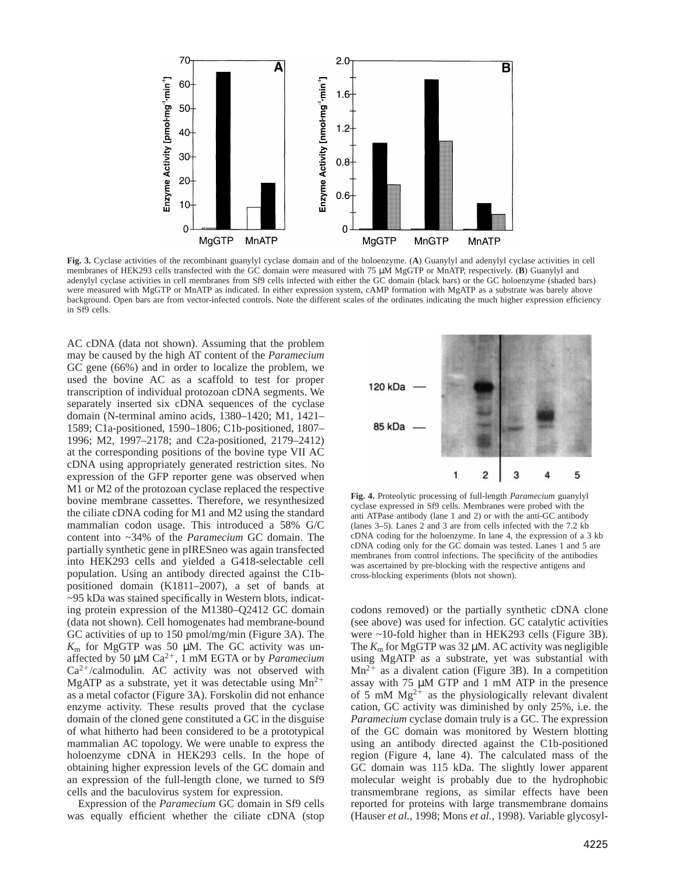

**Fig. 3.** Cyclase activities of the recombinant guanylyl cyclase domain and of the holoenzyme. (**A**) Guanylyl and adenylyl cyclase activities in cell membranes of HEK293 cells transfected with the GC domain were measured with 75  $\mu$ M MgGTP or MnATP, respectively. (**B**) Guanylyl and adenylyl cyclase activities in cell membranes from Sf9 cells infected with either the GC domain (black bars) or the GC holoenzyme (shaded bars) were measured with MgGTP or MnATP as indicated. In either expression system, cAMP formation with MgATP as a substrate was barely above background. Open bars are from vector-infected controls. Note the different scales of the ordinates indicating the much higher expression efficiency in Sf9 cells.

AC cDNA (data not shown). Assuming that the problem may be caused by the high AT content of the *Paramecium* GC gene (66%) and in order to localize the problem, we used the bovine AC as a scaffold to test for proper transcription of individual protozoan cDNA segments. We separately inserted six cDNA sequences of the cyclase domain (N-terminal amino acids, 1380–1420; M1, 1421– 1589; C1a-positioned, 1590–1806; C1b-positioned, 1807– 1996; M2, 1997–2178; and C2a-positioned, 2179–2412) at the corresponding positions of the bovine type VII AC cDNA using appropriately generated restriction sites. No expression of the GFP reporter gene was observed when M1 or M2 of the protozoan cyclase replaced the respective bovine membrane cassettes. Therefore, we resynthesized the ciliate cDNA coding for M1 and M2 using the standard mammalian codon usage. This introduced a 58% G/C content into ~34% of the *Paramecium* GC domain. The partially synthetic gene in pIRESneo was again transfected into HEK293 cells and yielded a G418-selectable cell population. Using an antibody directed against the C1bpositioned domain (K1811–2007), a set of bands at ~95 kDa was stained specifically in Western blots, indicating protein expression of the M1380–Q2412 GC domain (data not shown). Cell homogenates had membrane-bound GC activities of up to 150 pmol/mg/min (Figure 3A). The  $K<sub>m</sub>$  for MgGTP was 50  $\mu$ M. The GC activity was unaffected by 50  $\mu$ M Ca<sup>2+</sup>, 1 mM EGTA or by *Paramecium*  $Ca^{2+}/cal$ modulin. AC activity was not observed with MgATP as a substrate, yet it was detectable using  $Mn^{2+}$ as a metal cofactor (Figure 3A). Forskolin did not enhance enzyme activity. These results proved that the cyclase domain of the cloned gene constituted a GC in the disguise of what hitherto had been considered to be a prototypical mammalian AC topology. We were unable to express the holoenzyme cDNA in HEK293 cells. In the hope of obtaining higher expression levels of the GC domain and an expression of the full-length clone, we turned to Sf9 cells and the baculovirus system for expression.

Expression of the *Paramecium* GC domain in Sf9 cells was equally efficient whether the ciliate cDNA (stop



**Fig. 4.** Proteolytic processing of full-length *Paramecium* guanylyl cyclase expressed in Sf9 cells. Membranes were probed with the anti ATPase antibody (lane 1 and 2) or with the anti-GC antibody (lanes 3–5). Lanes 2 and 3 are from cells infected with the 7.2 kb cDNA coding for the holoenzyme. In lane 4, the expression of a 3 kb cDNA coding only for the GC domain was tested. Lanes 1 and 5 are membranes from control infections. The specificity of the antibodies was ascertained by pre-blocking with the respective antigens and cross-blocking experiments (blots not shown).

codons removed) or the partially synthetic cDNA clone (see above) was used for infection. GC catalytic activities were ~10-fold higher than in HEK293 cells (Figure 3B). The  $K<sub>m</sub>$  for MgGTP was 32  $\mu$ M. AC activity was negligible using MgATP as a substrate, yet was substantial with  $Mn^{2+}$  as a divalent cation (Figure 3B). In a competition assay with 75 µM GTP and 1 mM ATP in the presence of 5 mM  $Mg^{2+}$  as the physiologically relevant divalent cation, GC activity was diminished by only 25%, i.e. the *Paramecium* cyclase domain truly is a GC. The expression of the GC domain was monitored by Western blotting using an antibody directed against the C1b-positioned region (Figure 4, lane 4). The calculated mass of the GC domain was 115 kDa. The slightly lower apparent molecular weight is probably due to the hydrophobic transmembrane regions, as similar effects have been reported for proteins with large transmembrane domains (Hauser *et al.*, 1998; Mons *et al.*, 1998). Variable glycosyl-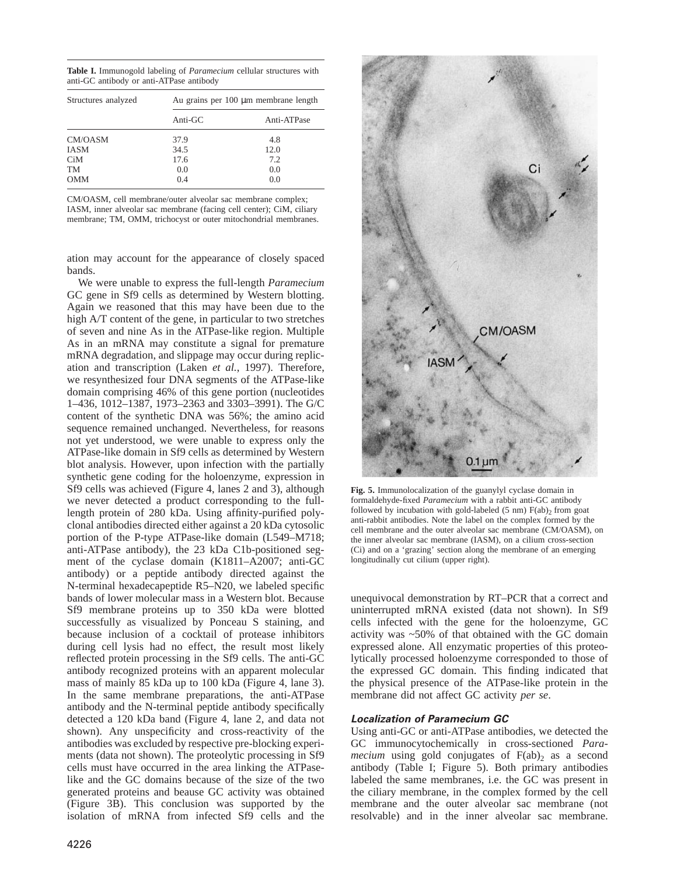**Table I.** Immunogold labeling of *Paramecium* cellular structures with anti-GC antibody or anti-ATPase antibody

| Structures analyzed | Au grains per 100 μm membrane length |             |  |  |  |
|---------------------|--------------------------------------|-------------|--|--|--|
|                     | Anti-GC                              | Anti-ATPase |  |  |  |
| CM/OASM             | 37.9                                 | 4.8         |  |  |  |
| <b>IASM</b>         | 34.5                                 | 12.0        |  |  |  |
| C <sub>i</sub> M    | 17.6                                 | 7.2         |  |  |  |
| TM                  | 0.0                                  | 0.0         |  |  |  |
| <b>OMM</b>          | 0.4                                  | 0.0         |  |  |  |

CM/OASM, cell membrane/outer alveolar sac membrane complex; IASM, inner alveolar sac membrane (facing cell center); CiM, ciliary membrane; TM, OMM, trichocyst or outer mitochondrial membranes.

ation may account for the appearance of closely spaced bands.

We were unable to express the full-length *Paramecium* GC gene in Sf9 cells as determined by Western blotting. Again we reasoned that this may have been due to the high A/T content of the gene, in particular to two stretches of seven and nine As in the ATPase-like region. Multiple As in an mRNA may constitute a signal for premature mRNA degradation, and slippage may occur during replication and transcription (Laken *et al.*, 1997). Therefore, we resynthesized four DNA segments of the ATPase-like domain comprising 46% of this gene portion (nucleotides 1–436, 1012–1387, 1973–2363 and 3303–3991). The G/C content of the synthetic DNA was 56%; the amino acid sequence remained unchanged. Nevertheless, for reasons not yet understood, we were unable to express only the ATPase-like domain in Sf9 cells as determined by Western blot analysis. However, upon infection with the partially synthetic gene coding for the holoenzyme, expression in Sf9 cells was achieved (Figure 4, lanes 2 and 3), although we never detected a product corresponding to the fulllength protein of 280 kDa. Using affinity-purified polyclonal antibodies directed either against a 20 kDa cytosolic portion of the P-type ATPase-like domain (L549–M718; anti-ATPase antibody), the 23 kDa C1b-positioned segment of the cyclase domain (K1811–A2007; anti-GC antibody) or a peptide antibody directed against the N-terminal hexadecapeptide R5–N20, we labeled specific bands of lower molecular mass in a Western blot. Because Sf9 membrane proteins up to 350 kDa were blotted successfully as visualized by Ponceau S staining, and because inclusion of a cocktail of protease inhibitors during cell lysis had no effect, the result most likely reflected protein processing in the Sf9 cells. The anti-GC antibody recognized proteins with an apparent molecular mass of mainly 85 kDa up to 100 kDa (Figure 4, lane 3). In the same membrane preparations, the anti-ATPase antibody and the N-terminal peptide antibody specifically detected a 120 kDa band (Figure 4, lane 2, and data not shown). Any unspecificity and cross-reactivity of the antibodies was excluded by respective pre-blocking experiments (data not shown). The proteolytic processing in Sf9 cells must have occurred in the area linking the ATPaselike and the GC domains because of the size of the two generated proteins and beause GC activity was obtained (Figure 3B). This conclusion was supported by the isolation of mRNA from infected Sf9 cells and the



**Fig. 5.** Immunolocalization of the guanylyl cyclase domain in formaldehyde-fixed *Paramecium* with a rabbit anti-GC antibody followed by incubation with gold-labeled (5 nm)  $F(ab)_2$  from goat anti-rabbit antibodies. Note the label on the complex formed by the cell membrane and the outer alveolar sac membrane (CM/OASM), on the inner alveolar sac membrane (IASM), on a cilium cross-section (Ci) and on a 'grazing' section along the membrane of an emerging longitudinally cut cilium (upper right).

unequivocal demonstration by RT–PCR that a correct and uninterrupted mRNA existed (data not shown). In Sf9 cells infected with the gene for the holoenzyme, GC activity was ~50% of that obtained with the GC domain expressed alone. All enzymatic properties of this proteolytically processed holoenzyme corresponded to those of the expressed GC domain. This finding indicated that the physical presence of the ATPase-like protein in the membrane did not affect GC activity *per se*.

### **Localization of Paramecium GC**

Using anti-GC or anti-ATPase antibodies, we detected the GC immunocytochemically in cross-sectioned *Paramecium* using gold conjugates of  $F(ab)$ , as a second antibody (Table I; Figure 5). Both primary antibodies labeled the same membranes, i.e. the GC was present in the ciliary membrane, in the complex formed by the cell membrane and the outer alveolar sac membrane (not resolvable) and in the inner alveolar sac membrane.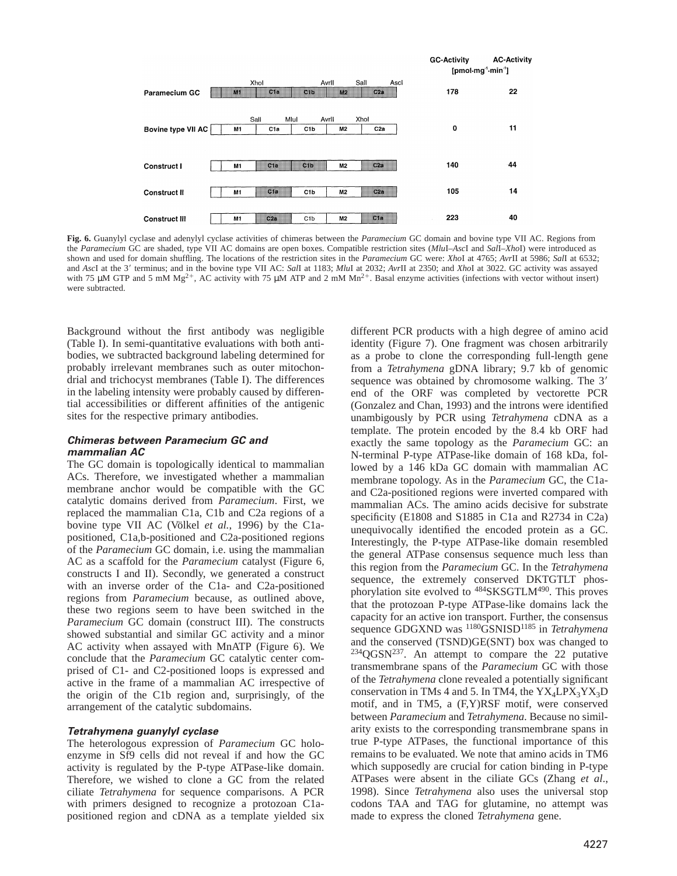

**Fig. 6.** Guanylyl cyclase and adenylyl cyclase activities of chimeras between the *Paramecium* GC domain and bovine type VII AC. Regions from the *Paramecium* GC are shaded, type VII AC domains are open boxes. Compatible restriction sites (*Mlu*I–*Asc*I and *Sal*I–*Xho*I) were introduced as shown and used for domain shuffling. The locations of the restriction sites in the *Paramecium* GC were: *Xho*I at 4765; *Avr*II at 5986; *Sal*I at 6532; and *AscI* at the 3' terminus; and in the bovine type VII AC: *SalI* at 1183; *MluI* at 2032; *AvrII* at 2350; and *XhoI* at 3022. GC activity was assayed with 75  $\mu$ M GTP and 5 mM Mg<sup>2+</sup>, AC activity with 75  $\mu$ M ATP and 2 mM Mn<sup>2+</sup>. Basal enzyme activities (infections with vector without insert) were subtracted.

Background without the first antibody was negligible (Table I). In semi-quantitative evaluations with both antibodies, we subtracted background labeling determined for probably irrelevant membranes such as outer mitochondrial and trichocyst membranes (Table I). The differences in the labeling intensity were probably caused by differential accessibilities or different affinities of the antigenic sites for the respective primary antibodies.

### **Chimeras between Paramecium GC and mammalian AC**

The GC domain is topologically identical to mammalian ACs. Therefore, we investigated whether a mammalian membrane anchor would be compatible with the GC catalytic domains derived from *Paramecium*. First, we replaced the mammalian C1a, C1b and C2a regions of a bovine type VII AC (Völkel *et al.*, 1996) by the C1apositioned, C1a,b-positioned and C2a-positioned regions of the *Paramecium* GC domain, i.e. using the mammalian AC as a scaffold for the *Paramecium* catalyst (Figure 6, constructs I and II). Secondly, we generated a construct with an inverse order of the C1a- and C2a-positioned regions from *Paramecium* because, as outlined above, these two regions seem to have been switched in the *Paramecium* GC domain (construct III). The constructs showed substantial and similar GC activity and a minor AC activity when assayed with MnATP (Figure 6). We conclude that the *Paramecium* GC catalytic center comprised of C1- and C2-positioned loops is expressed and active in the frame of a mammalian AC irrespective of the origin of the C1b region and, surprisingly, of the arrangement of the catalytic subdomains.

### **Tetrahymena guanylyl cyclase**

The heterologous expression of *Paramecium* GC holoenzyme in Sf9 cells did not reveal if and how the GC activity is regulated by the P-type ATPase-like domain. Therefore, we wished to clone a GC from the related ciliate *Tetrahymena* for sequence comparisons. A PCR with primers designed to recognize a protozoan C1apositioned region and cDNA as a template yielded six

different PCR products with a high degree of amino acid identity (Figure 7). One fragment was chosen arbitrarily as a probe to clone the corresponding full-length gene from a *Tetrahymena* gDNA library; 9.7 kb of genomic sequence was obtained by chromosome walking. The 3' end of the ORF was completed by vectorette PCR (Gonzalez and Chan, 1993) and the introns were identified unambigously by PCR using *Tetrahymena* cDNA as a template. The protein encoded by the 8.4 kb ORF had exactly the same topology as the *Paramecium* GC: an N-terminal P-type ATPase-like domain of 168 kDa, followed by a 146 kDa GC domain with mammalian AC membrane topology. As in the *Paramecium* GC, the C1aand C2a-positioned regions were inverted compared with mammalian ACs. The amino acids decisive for substrate specificity (E1808 and S1885 in C1a and R2734 in C2a) unequivocally identified the encoded protein as a GC. Interestingly, the P-type ATPase-like domain resembled the general ATPase consensus sequence much less than this region from the *Paramecium* GC. In the *Tetrahymena* sequence, the extremely conserved DKTGTLT phosphorylation site evolved to 484SKSGTLM490. This proves that the protozoan P-type ATPase-like domains lack the capacity for an active ion transport. Further, the consensus sequence GDGXND was <sup>1180</sup>GSNISD<sup>1185</sup> in *Tetrahymena* and the conserved (TSND)GE(SNT) box was changed to  $234QGSN^{237}$ . An attempt to compare the 22 putative transmembrane spans of the *Paramecium* GC with those of the *Tetrahymena* clone revealed a potentially significant conservation in TMs 4 and 5. In TM4, the  $YX_4LPX_3YX_3D$ motif, and in TM5, a (F,Y)RSF motif, were conserved between *Paramecium* and *Tetrahymena*. Because no similarity exists to the corresponding transmembrane spans in true P-type ATPases, the functional importance of this remains to be evaluated. We note that amino acids in TM6 which supposedly are crucial for cation binding in P-type ATPases were absent in the ciliate GCs (Zhang *et al*., 1998). Since *Tetrahymena* also uses the universal stop codons TAA and TAG for glutamine, no attempt was made to express the cloned *Tetrahymena* gene.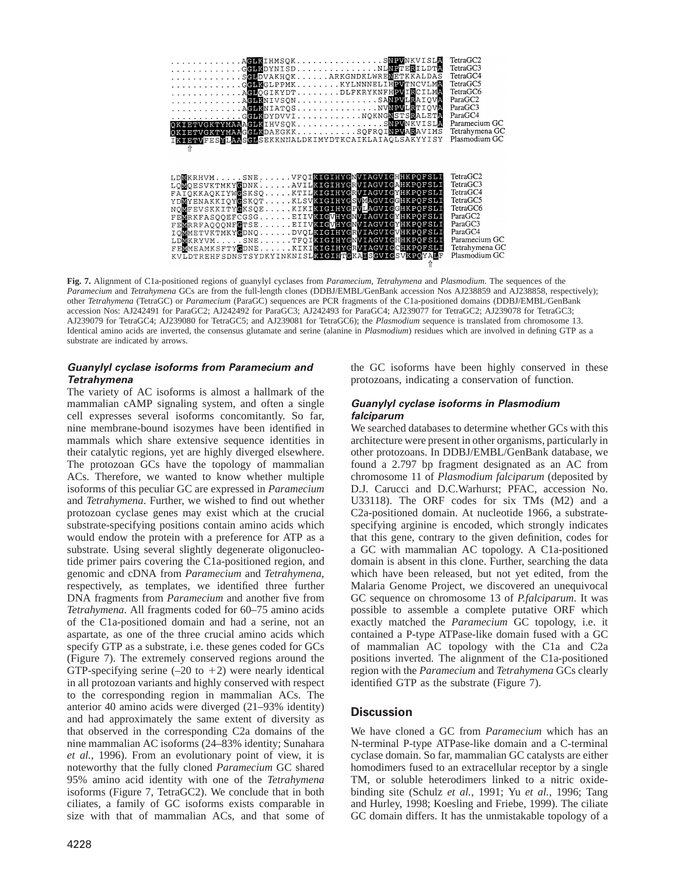

**Fig. 7.** Alignment of C1a-positioned regions of guanylyl cyclases from *Paramecium*, *Tetrahymena* and *Plasmodium*. The sequences of the *Paramecium* and *Tetrahymena* GCs are from the full-length clones (DDBJ/EMBL/GenBank accession Nos AJ238859 and AJ238858, respectively); other *Tetrahymena* (TetraGC) or *Paramecium* (ParaGC) sequences are PCR fragments of the C1a-positioned domains (DDBJ/EMBL/GenBank accession Nos: AJ242491 for ParaGC2; AJ242492 for ParaGC3; AJ242493 for ParaGC4; AJ239077 for TetraGC2; AJ239078 for TetraGC3; AJ239079 for TetraGC4; AJ239080 for TetraGC5; and AJ239081 for TetraGC6); the *Plasmodium* sequence is translated from chromosome 13. Identical amino acids are inverted, the consensus glutamate and serine (alanine in *Plasmodium*) residues which are involved in defining GTP as a substrate are indicated by arrows.

# **Guanylyl cyclase isoforms from Paramecium and Tetrahymena**

The variety of AC isoforms is almost a hallmark of the mammalian cAMP signaling system, and often a single cell expresses several isoforms concomitantly. So far, nine membrane-bound isozymes have been identified in mammals which share extensive sequence identities in their catalytic regions, yet are highly diverged elsewhere. The protozoan GCs have the topology of mammalian ACs. Therefore, we wanted to know whether multiple isoforms of this peculiar GC are expressed in *Paramecium* and *Tetrahymena*. Further, we wished to find out whether protozoan cyclase genes may exist which at the crucial substrate-specifying positions contain amino acids which would endow the protein with a preference for ATP as a substrate. Using several slightly degenerate oligonucleotide primer pairs covering the C1a-positioned region, and genomic and cDNA from *Paramecium* and *Tetrahymena*, respectively, as templates, we identified three further DNA fragments from *Paramecium* and another five from *Tetrahymena*. All fragments coded for 60–75 amino acids of the C1a-positioned domain and had a serine, not an aspartate, as one of the three crucial amino acids which specify GTP as a substrate, i.e. these genes coded for GCs (Figure 7). The extremely conserved regions around the GTP-specifying serine  $(-20 \text{ to } +2)$  were nearly identical in all protozoan variants and highly conserved with respect to the corresponding region in mammalian ACs. The anterior 40 amino acids were diverged (21–93% identity) and had approximately the same extent of diversity as that observed in the corresponding C2a domains of the nine mammalian AC isoforms (24–83% identity; Sunahara *et al.*, 1996). From an evolutionary point of view, it is noteworthy that the fully cloned *Paramecium* GC shared 95% amino acid identity with one of the *Tetrahymena* isoforms (Figure 7, TetraGC2). We conclude that in both ciliates, a family of GC isoforms exists comparable in size with that of mammalian ACs, and that some of the GC isoforms have been highly conserved in these protozoans, indicating a conservation of function.

### **Guanylyl cyclase isoforms in Plasmodium falciparum**

We searched databases to determine whether GCs with this architecture were present in other organisms, particularly in other protozoans. In DDBJ/EMBL/GenBank database, we found a 2.797 bp fragment designated as an AC from chromosome 11 of *Plasmodium falciparum* (deposited by D.J. Carucci and D.C.Warhurst; PFAC, accession No. U33118). The ORF codes for six TMs (M2) and a C2a-positioned domain. At nucleotide 1966, a substratespecifying arginine is encoded, which strongly indicates that this gene, contrary to the given definition, codes for a GC with mammalian AC topology. A C1a-positioned domain is absent in this clone. Further, searching the data which have been released, but not yet edited, from the Malaria Genome Project, we discovered an unequivocal GC sequence on chromosome 13 of *P.falciparum*. It was possible to assemble a complete putative ORF which exactly matched the *Paramecium* GC topology, i.e. it contained a P-type ATPase-like domain fused with a GC of mammalian AC topology with the C1a and C2a positions inverted. The alignment of the C1a-positioned region with the *Paramecium* and *Tetrahymena* GCs clearly identified GTP as the substrate (Figure 7).

# **Discussion**

We have cloned a GC from *Paramecium* which has an N-terminal P-type ATPase-like domain and a C-terminal cyclase domain. So far, mammalian GC catalysts are either homodimers fused to an extracellular receptor by a single TM, or soluble heterodimers linked to a nitric oxidebinding site (Schulz *et al.*, 1991; Yu *et al.*, 1996; Tang and Hurley, 1998; Koesling and Friebe, 1999). The ciliate GC domain differs. It has the unmistakable topology of a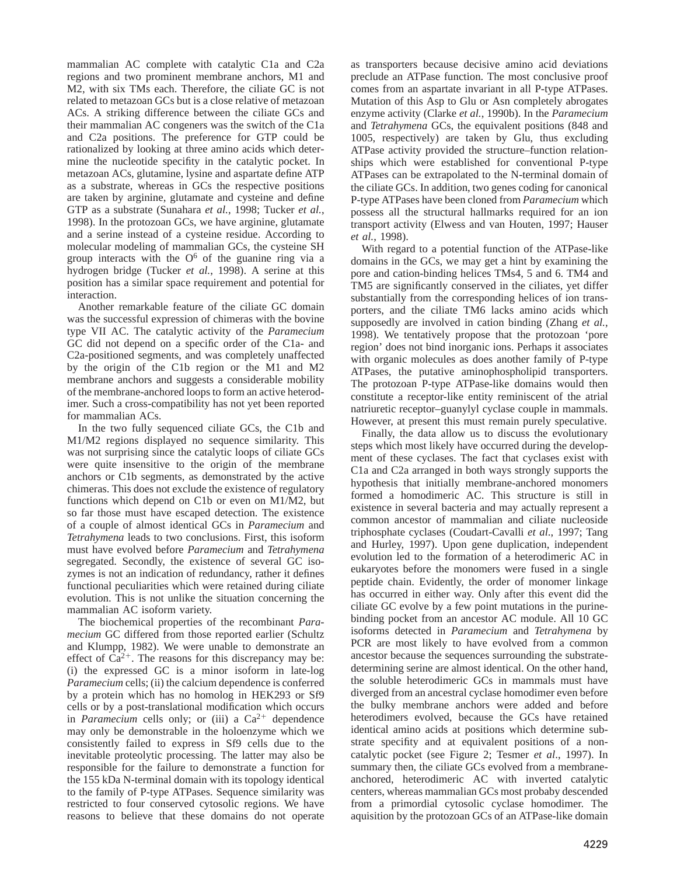mammalian AC complete with catalytic C1a and C2a regions and two prominent membrane anchors, M1 and M2, with six TMs each. Therefore, the ciliate GC is not related to metazoan GCs but is a close relative of metazoan ACs. A striking difference between the ciliate GCs and their mammalian AC congeners was the switch of the C1a and C2a positions. The preference for GTP could be rationalized by looking at three amino acids which determine the nucleotide specifity in the catalytic pocket. In metazoan ACs, glutamine, lysine and aspartate define ATP as a substrate, whereas in GCs the respective positions are taken by arginine, glutamate and cysteine and define GTP as a substrate (Sunahara *et al.*, 1998; Tucker *et al.*, 1998). In the protozoan GCs, we have arginine, glutamate and a serine instead of a cysteine residue. According to molecular modeling of mammalian GCs, the cysteine SH group interacts with the  $O<sup>6</sup>$  of the guanine ring via a hydrogen bridge (Tucker *et al.*, 1998). A serine at this position has a similar space requirement and potential for interaction.

Another remarkable feature of the ciliate GC domain was the successful expression of chimeras with the bovine type VII AC. The catalytic activity of the *Paramecium* GC did not depend on a specific order of the C1a- and C2a-positioned segments, and was completely unaffected by the origin of the C1b region or the M1 and M2 membrane anchors and suggests a considerable mobility of the membrane-anchored loops to form an active heterodimer. Such a cross-compatibility has not yet been reported for mammalian ACs.

In the two fully sequenced ciliate GCs, the C1b and M1/M2 regions displayed no sequence similarity. This was not surprising since the catalytic loops of ciliate GCs were quite insensitive to the origin of the membrane anchors or C1b segments, as demonstrated by the active chimeras. This does not exclude the existence of regulatory functions which depend on C1b or even on M1/M2, but so far those must have escaped detection. The existence of a couple of almost identical GCs in *Paramecium* and *Tetrahymena* leads to two conclusions. First, this isoform must have evolved before *Paramecium* and *Tetrahymena* segregated. Secondly, the existence of several GC isozymes is not an indication of redundancy, rather it defines functional peculiarities which were retained during ciliate evolution. This is not unlike the situation concerning the mammalian AC isoform variety.

The biochemical properties of the recombinant *Paramecium* GC differed from those reported earlier (Schultz and Klumpp, 1982). We were unable to demonstrate an effect of  $Ca^{2+}$ . The reasons for this discrepancy may be: (i) the expressed GC is a minor isoform in late-log *Paramecium* cells; (ii) the calcium dependence is conferred by a protein which has no homolog in HEK293 or Sf9 cells or by a post-translational modification which occurs in *Paramecium* cells only; or (iii) a  $Ca^{2+}$  dependence may only be demonstrable in the holoenzyme which we consistently failed to express in Sf9 cells due to the inevitable proteolytic processing. The latter may also be responsible for the failure to demonstrate a function for the 155 kDa N-terminal domain with its topology identical to the family of P-type ATPases. Sequence similarity was restricted to four conserved cytosolic regions. We have reasons to believe that these domains do not operate

as transporters because decisive amino acid deviations preclude an ATPase function. The most conclusive proof comes from an aspartate invariant in all P-type ATPases. Mutation of this Asp to Glu or Asn completely abrogates enzyme activity (Clarke *et al.*, 1990b). In the *Paramecium* and *Tetrahymena* GCs, the equivalent positions (848 and 1005, respectively) are taken by Glu, thus excluding ATPase activity provided the structure–function relationships which were established for conventional P-type ATPases can be extrapolated to the N-terminal domain of the ciliate GCs. In addition, two genes coding for canonical P-type ATPases have been cloned from *Paramecium* which possess all the structural hallmarks required for an ion transport activity (Elwess and van Houten, 1997; Hauser *et al.*, 1998).

With regard to a potential function of the ATPase-like domains in the GCs, we may get a hint by examining the pore and cation-binding helices TMs4, 5 and 6. TM4 and TM5 are significantly conserved in the ciliates, yet differ substantially from the corresponding helices of ion transporters, and the ciliate TM6 lacks amino acids which supposedly are involved in cation binding (Zhang *et al.*, 1998). We tentatively propose that the protozoan 'pore region' does not bind inorganic ions. Perhaps it associates with organic molecules as does another family of P-type ATPases, the putative aminophospholipid transporters. The protozoan P-type ATPase-like domains would then constitute a receptor-like entity reminiscent of the atrial natriuretic receptor–guanylyl cyclase couple in mammals. However, at present this must remain purely speculative.

Finally, the data allow us to discuss the evolutionary steps which most likely have occurred during the development of these cyclases. The fact that cyclases exist with C1a and C2a arranged in both ways strongly supports the hypothesis that initially membrane-anchored monomers formed a homodimeric AC. This structure is still in existence in several bacteria and may actually represent a common ancestor of mammalian and ciliate nucleoside triphosphate cyclases (Coudart-Cavalli *et al*., 1997; Tang and Hurley, 1997). Upon gene duplication, independent evolution led to the formation of a heterodimeric AC in eukaryotes before the monomers were fused in a single peptide chain. Evidently, the order of monomer linkage has occurred in either way. Only after this event did the ciliate GC evolve by a few point mutations in the purinebinding pocket from an ancestor AC module. All 10 GC isoforms detected in *Paramecium* and *Tetrahymena* by PCR are most likely to have evolved from a common ancestor because the sequences surrounding the substratedetermining serine are almost identical. On the other hand, the soluble heterodimeric GCs in mammals must have diverged from an ancestral cyclase homodimer even before the bulky membrane anchors were added and before heterodimers evolved, because the GCs have retained identical amino acids at positions which determine substrate specifity and at equivalent positions of a noncatalytic pocket (see Figure 2; Tesmer *et al*., 1997). In summary then, the ciliate GCs evolved from a membraneanchored, heterodimeric AC with inverted catalytic centers, whereas mammalian GCs most probaby descended from a primordial cytosolic cyclase homodimer. The aquisition by the protozoan GCs of an ATPase-like domain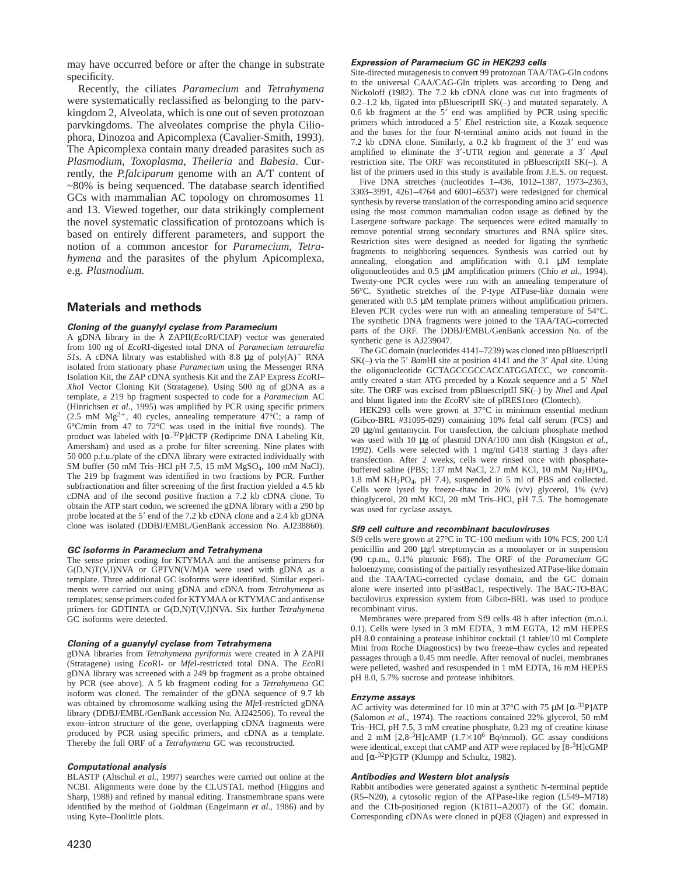may have occurred before or after the change in substrate specificity.

Recently, the ciliates *Paramecium* and *Tetrahymena* were systematically reclassified as belonging to the parvkingdom 2, Alveolata, which is one out of seven protozoan parvkingdoms. The alveolates comprise the phyla Ciliophora, Dinozoa and Apicomplexa (Cavalier-Smith, 1993). The Apicomplexa contain many dreaded parasites such as *Plasmodium*, *Toxoplasma*, *Theileria* and *Babesia*. Currently, the *P.falciparum* genome with an A/T content of ~80% is being sequenced. The database search identified GCs with mammalian AC topology on chromosomes 11 and 13. Viewed together, our data strikingly complement the novel systematic classification of protozoans which is based on entirely different parameters, and support the notion of a common ancestor for *Paramecium*, *Tetrahymena* and the parasites of the phylum Apicomplexa, e.g. *Plasmodium*.

# **Materials and methods**

#### **Cloning of the guanylyl cyclase from Paramecium**

A gDNA library in the λ ZAPII(*Eco*RI/CIAP) vector was generated from 100 ng of *Eco*RI-digested total DNA of *Paramecium tetraurelia 51s*. A cDNA library was established with 8.8  $\mu$ g of poly(A)<sup>+</sup> RNA isolated from stationary phase *Paramecium* using the Messenger RNA Isolation Kit, the ZAP cDNA synthesis Kit and the ZAP Express *Eco*RI– *Xho*I Vector Cloning Kit (Stratagene). Using 500 ng of gDNA as a template, a 219 bp fragment suspected to code for a *Paramecium* AC (Hinrichsen *et al.*, 1995) was amplified by PCR using specific primers  $(2.5 \text{ mM } Mg^{2+}$ , 40 cycles, annealing temperature 47°C; a ramp of 6°C/min from 47 to 72°C was used in the initial five rounds). The product was labeled with  $[\alpha^{-32}P]$ dCTP (Rediprime DNA Labeling Kit, Amersham) and used as a probe for filter screening. Nine plates with 50 000 p.f.u./plate of the cDNA library were extracted individually with SM buffer (50 mM Tris–HCl pH 7.5, 15 mM MgSO4, 100 mM NaCl). The 219 bp fragment was identified in two fractions by PCR. Further subfractionation and filter screening of the first fraction yielded a 4.5 kb cDNA and of the second positive fraction a 7.2 kb cDNA clone. To obtain the ATP start codon, we screened the gDNA library with a 290 bp probe located at the 5' end of the 7.2 kb cDNA clone and a 2.4 kb gDNA clone was isolated (DDBJ/EMBL/GenBank accession No. AJ238860).

#### **GC isoforms in Paramecium and Tetrahymena**

The sense primer coding for KTYMAA and the antisense primers for G(D,N)T(V,I)NVA or GPTVN(V/M)A were used with gDNA as a template. Three additional GC isoforms were identified. Similar experiments were carried out using gDNA and cDNA from *Tetrahymena* as templates; sense primers coded for KTYMAA or KTYMAC and antisense primers for GDTINTA or G(D,N)T(V,I)NVA. Six further *Tetrahymena* GC isoforms were detected.

#### **Cloning of <sup>a</sup> guanylyl cyclase from Tetrahymena**

gDNA libraries from *Tetrahymena pyriformis* were created in λ ZAPII (Stratagene) using *Eco*RI- or *Mfe*I-restricted total DNA. The *Eco*RI gDNA library was screened with a 249 bp fragment as a probe obtained by PCR (see above). A 5 kb fragment coding for a *Tetrahymena* GC isoform was cloned. The remainder of the gDNA sequence of 9.7 kb was obtained by chromosome walking using the *Mfe*I-restricted gDNA library (DDBJ/EMBL/GenBank accession No. AJ242506). To reveal the exon–intron structure of the gene, overlapping cDNA fragments were produced by PCR using specific primers, and cDNA as a template. Thereby the full ORF of a *Tetrahymena* GC was reconstructed.

#### **Computational analysis**

BLASTP (Altschul *et al.*, 1997) searches were carried out online at the NCBI. Alignments were done by the CLUSTAL method (Higgins and Sharp, 1988) and refined by manual editing. Transmembrane spans were identified by the method of Goldman (Engelmann *et al.*, 1986) and by using Kyte–Doolittle plots.

### **Expression of Paramecium GC in HEK293 cells**

Site-directed mutagenesis to convert 99 protozoan TAA/TAG-Gln codons to the universal CAA/CAG-Gln triplets was according to Deng and Nickoloff (1982). The 7.2 kb cDNA clone was cut into fragments of 0.2–1.2 kb, ligated into pBluescriptII SK(–) and mutated separately. A 0.6 kb fragment at the  $5'$  end was amplified by PCR using specific primers which introduced a 5' *EheI* restriction site, a Kozak sequence and the bases for the four N-terminal amino acids not found in the 7.2 kb cDNA clone. Similarly, a  $0.2$  kb fragment of the  $3'$  end was amplified to eliminate the 3'-UTR region and generate a 3' ApaI restriction site. The ORF was reconstituted in pBluescriptII SK(–). A list of the primers used in this study is available from J.E.S. on request.

Five DNA stretches (nucleotides 1–436, 1012–1387, 1973–2363, 3303–3991, 4261–4764 and 6001–6537) were redesigned for chemical synthesis by reverse translation of the corresponding amino acid sequence using the most common mammalian codon usage as defined by the Lasergene software package. The sequences were edited manually to remove potential strong secondary structures and RNA splice sites. Restriction sites were designed as needed for ligating the synthetic fragments to neighboring sequences. Synthesis was carried out by annealing, elongation and amplification with 0.1 µM template oligonucleotides and 0.5 µM amplification primers (Chio *et al.*, 1994). Twenty-one PCR cycles were run with an annealing temperature of 56°C. Synthetic stretches of the P-type ATPase-like domain were generated with 0.5 µM template primers without amplification primers. Eleven PCR cycles were run with an annealing temperature of 54°C. The synthetic DNA fragments were joined to the TAA/TAG-corrected parts of the ORF. The DDBJ/EMBL/GenBank accession No. of the synthetic gene is AJ239047.

The GC domain (nucleotides 4141–7239) was cloned into pBluescriptII SK(-) via the 5' *Bam*HI site at position 4141 and the 3' *ApaI* site. Using the oligonucleotide GCTAGCCGCCACCATGGATCC, we concomitantly created a start ATG preceded by a Kozak sequence and a 5' NheI site. The ORF was excised from pBluescriptII SK(–) by *Nhe*I and *Apa*I and blunt ligated into the *Eco*RV site of pIRES1neo (Clontech).

HEK293 cells were grown at 37°C in minimum essential medium (Gibco-BRL #31095-029) containing 10% fetal calf serum (FCS) and 20 µg/ml gentamycin. For transfection, the calcium phosphate method was used with 10 µg of plasmid DNA/100 mm dish (Kingston et al., 1992). Cells were selected with 1 mg/ml G418 starting 3 days after transfection. After 2 weeks, cells were rinsed once with phosphatebuffered saline (PBS; 137 mM NaCl, 2.7 mM KCl, 10 mM  $Na<sub>2</sub>HPO<sub>4</sub>$ , 1.8 mM KH2PO4, pH 7.4), suspended in 5 ml of PBS and collected. Cells were lysed by freeze–thaw in 20% (v/v) glycerol, 1% (v/v) thioglycerol, 20 mM KCl, 20 mM Tris–HCl, pH 7.5. The homogenate was used for cyclase assays.

#### **Sf9 cell culture and recombinant baculoviruses**

Sf9 cells were grown at 27°C in TC-100 medium with 10% FCS, 200 U/l penicillin and 200 µg/l streptomycin as a monolayer or in suspension (90 r.p.m., 0.1% pluronic F68). The ORF of the *Paramecium* GC holoenzyme, consisting of the partially resynthesized ATPase-like domain and the TAA/TAG-corrected cyclase domain, and the GC domain alone were inserted into pFastBac1, respectively. The BAC-TO-BAC baculovirus expression system from Gibco-BRL was used to produce recombinant virus.

Membranes were prepared from Sf9 cells 48 h after infection (m.o.i. 0.1). Cells were lysed in 3 mM EDTA, 3 mM EGTA, 12 mM HEPES pH 8.0 containing a protease inhibitor cocktail (1 tablet/10 ml Complete Mini from Roche Diagnostics) by two freeze–thaw cycles and repeated passages through a 0.45 mm needle. After removal of nuclei, membranes were pelleted, washed and resuspended in 1 mM EDTA, 16 mM HEPES pH 8.0, 5.7% sucrose and protease inhibitors.

#### **Enzyme assays**

AC activity was determined for 10 min at 37 $^{\circ}$ C with 75 µM [ $\alpha$ -<sup>32</sup>P]ATP (Salomon *et al.*, 1974). The reactions contained 22% glycerol, 50 mM Tris–HCl, pH 7.5, 3 mM creatine phosphate, 0.23 mg of creatine kinase and 2 mM [2,8- $^3$ H]cAMP (1.7×10<sup>6</sup> Bq/mmol). GC assay conditions were identical, except that cAMP and ATP were replaced by  $[8-3H]cGMP$ and  $[\alpha^{-32}P]GTP$  (Klumpp and Schultz, 1982).

#### **Antibodies and Western blot analysis**

Rabbit antibodies were generated against a synthetic N-terminal peptide (R5–N20), a cytosolic region of the ATPase-like region (L549–M718) and the C1b-positioned region (K1811–A2007) of the GC domain. Corresponding cDNAs were cloned in pQE8 (Qiagen) and expressed in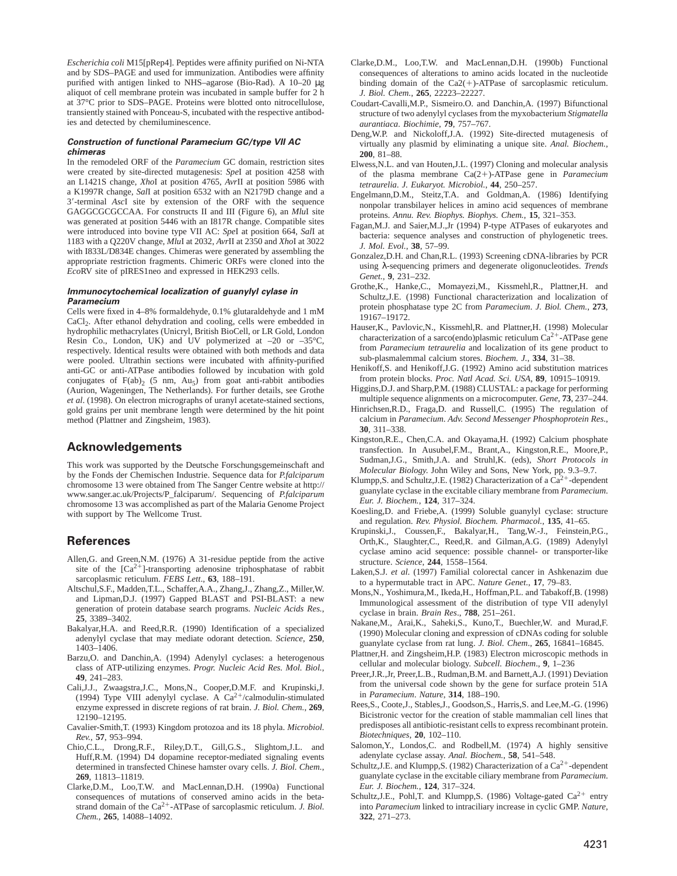*Escherichia coli* M15[pRep4]. Peptides were affinity purified on Ni-NTA and by SDS–PAGE and used for immunization. Antibodies were affinity purified with antigen linked to NHS–agarose (Bio-Rad). A 10–20 µg aliquot of cell membrane protein was incubated in sample buffer for 2 h at 37°C prior to SDS–PAGE. Proteins were blotted onto nitrocellulose, transiently stained with Ponceau-S, incubated with the respective antibodies and detected by chemiluminescence.

#### **Construction of functional Paramecium GC/type VII AC chimeras**

In the remodeled ORF of the *Paramecium* GC domain, restriction sites were created by site-directed mutagenesis: *Spe*I at position 4258 with an L1421S change, *Xho*I at position 4765, *Avr*II at position 5986 with a K1997R change, *Sal*I at position 6532 with an N2179D change and a 39-terminal *Asc*I site by extension of the ORF with the sequence GAGGCGCGCCAA. For constructs II and III (Figure 6), an *Mlu*I site was generated at position 5446 with an I817R change. Compatible sites were introduced into bovine type VII AC: *Spe*I at position 664, *Sal*I at 1183 with a Q220V change, *Mlu*I at 2032, *Avr*II at 2350 and *Xho*I at 3022 with I833L/D834E changes. Chimeras were generated by assembling the appropriate restriction fragments. Chimeric ORFs were cloned into the *Eco*RV site of pIRES1neo and expressed in HEK293 cells.

#### **Immunocytochemical localization of guanylyl cylase in Paramecium**

Cells were fixed in 4–8% formaldehyde, 0.1% glutaraldehyde and 1 mM CaCl<sub>2</sub>. After ethanol dehydration and cooling, cells were embedded in hydrophilic methacrylates (Unicryl, British BioCell, or LR Gold, London Resin Co., London, UK) and UV polymerized at –20 or –35°C, respectively. Identical results were obtained with both methods and data were pooled. Ultrathin sections were incubated with affinity-purified anti-GC or anti-ATPase antibodies followed by incubation with gold conjugates of  $F(ab)_2$  (5 nm,  $Au_5$ ) from goat anti-rabbit antibodies (Aurion, Wageningen, The Netherlands). For further details, see Grothe *et al*. (1998). On electron micrographs of uranyl acetate-stained sections, gold grains per unit membrane length were determined by the hit point method (Plattner and Zingsheim, 1983).

# **Acknowledgements**

This work was supported by the Deutsche Forschungsgemeinschaft and by the Fonds der Chemischen Industrie. Sequence data for *P.falciparum* chromosome 13 were obtained from The Sanger Centre website at http:// www.sanger.ac.uk/Projects/P\_falciparum/. Sequencing of *P.falciparum* chromosome 13 was accomplished as part of the Malaria Genome Project with support by The Wellcome Trust.

# **References**

- Allen,G. and Green,N.M. (1976) A 31-residue peptide from the active site of the  $[Ca^{2+}]$ -transporting adenosine triphosphatase of rabbit sarcoplasmic reticulum. *FEBS Lett*., **63**, 188–191.
- Altschul,S.F., Madden,T.L., Schaffer,A.A., Zhang,J., Zhang,Z., Miller,W. and Lipman,D.J. (1997) Gapped BLAST and PSI-BLAST: a new generation of protein database search programs. *Nucleic Acids Res.*, **25**, 3389–3402.
- Bakalyar,H.A. and Reed,R.R. (1990) Identification of a specialized adenylyl cyclase that may mediate odorant detection. *Science*, **250**, 1403–1406.
- Barzu,O. and Danchin,A. (1994) Adenylyl cyclases: a heterogenous class of ATP-utilizing enzymes. *Progr. Nucleic Acid Res. Mol. Biol.*, **49**, 241–283.
- Cali,J.J., Zwaagstra,J.C., Mons,N., Cooper,D.M.F. and Krupinski,J. (1994) Type VIII adenylyl cyclase. A  $Ca^{2+}/c$ almodulin-stimulated enzyme expressed in discrete regions of rat brain. *J. Biol. Chem.*, **269**, 12190–12195.
- Cavalier-Smith,T. (1993) Kingdom protozoa and its 18 phyla. *Microbiol. Rev.*, **57**, 953–994.
- Chio,C.L., Drong,R.F., Riley,D.T., Gill,G.S., Slightom,J.L. and Huff,R.M. (1994) D4 dopamine receptor-mediated signaling events determined in transfected Chinese hamster ovary cells. *J. Biol. Chem.*, **269**, 11813–11819.
- Clarke,D.M., Loo,T.W. and MacLennan,D.H. (1990a) Functional consequences of mutations of conserved amino acids in the betastrand domain of the  $Ca^{2+}$ -ATPase of sarcoplasmic reticulum. *J. Biol. Chem.*, **265**, 14088–14092.
- Clarke,D.M., Loo,T.W. and MacLennan,D.H. (1990b) Functional consequences of alterations to amino acids located in the nucleotide binding domain of the  $Ca2(+)$ -ATPase of sarcoplasmic reticulum. *J. Biol. Chem.*, **265**, 22223–22227.
- Coudart-Cavalli,M.P., Sismeiro.O. and Danchin,A. (1997) Bifunctional structure of two adenylyl cyclases from the myxobacterium *Stigmatella aurantiaca*. *Biochimie*, **79**, 757–767.
- Deng,W.P. and Nickoloff,J.A. (1992) Site-directed mutagenesis of virtually any plasmid by eliminating a unique site. *Anal. Biochem.*, **200**, 81–88.
- Elwess,N.L. and van Houten,J.L. (1997) Cloning and molecular analysis of the plasma membrane Ca(21)-ATPase gene in *Paramecium tetraurelia*. *J. Eukaryot. Microbiol.*, **44**, 250–257.
- Engelmann,D.M., Steitz,T.A. and Goldman,A. (1986) Identifying nonpolar transbilayer helices in amino acid sequences of membrane proteins. *Annu. Rev. Biophys. Biophys. Chem.*, **15**, 321–353.
- Fagan,M.J. and Saier,M.J.,Jr (1994) P-type ATPases of eukaryotes and bacteria: sequence analyses and construction of phylogenetic trees. *J. Mol. Evol.*, **38**, 57–99.
- Gonzalez,D.H. and Chan,R.L. (1993) Screening cDNA-libraries by PCR using λ-sequencing primers and degenerate oligonucleotides. *Trends Genet.*, **9**, 231–232.
- Grothe,K., Hanke,C., Momayezi,M., Kissmehl,R., Plattner,H. and Schultz,J.E. (1998) Functional characterization and localization of protein phosphatase type 2C from *Paramecium*. *J. Biol. Chem.*, **273**, 19167–19172.
- Hauser,K., Pavlovic,N., Kissmehl,R. and Plattner,H. (1998) Molecular characterization of a sarco(endo)plasmic reticulum  $Ca^{2+}$ -ATPase gene from *Paramecium tetraurelia* and localization of its gene product to sub-plasmalemmal calcium stores. *Biochem. J.*, **334**, 31–38.
- Henikoff,S. and Henikoff,J.G. (1992) Amino acid substitution matrices from protein blocks. *Proc. Natl Acad. Sci. USA*, **89**, 10915–10919.
- Higgins,D.J. and Sharp,P.M. (1988) CLUSTAL: a package for performing multiple sequence alignments on a microcomputer. *Gene*, **73**, 237–244.
- Hinrichsen,R.D., Fraga,D. and Russell,C. (1995) The regulation of calcium in *Paramecium*. *Adv. Second Messenger Phosphoprotein Res*., **30**, 311–338.
- Kingston,R.E., Chen,C.A. and Okayama,H. (1992) Calcium phosphate transfection. In Ausubel,F.M., Brant,A., Kingston,R.E., Moore,P., Sudman,J.G., Smith,J.A. and Struhl,K. (eds), *Short Protocols in Molecular Biology*. John Wiley and Sons, New York, pp. 9.3–9.7.
- Klumpp, S. and Schultz, J.E. (1982) Characterization of a  $\widehat{Ca}^{2+}$ -dependent guanylate cyclase in the excitable ciliary membrane from *Paramecium*. *Eur. J. Biochem.*, **124**, 317–324.
- Koesling,D. and Friebe,A. (1999) Soluble guanylyl cyclase: structure and regulation. *Rev. Physiol. Biochem. Pharmacol.*, **135**, 41–65.
- Krupinski,J., Coussen,F., Bakalyar,H., Tang,W.-J., Feinstein,P.G., Orth,K., Slaughter,C., Reed,R. and Gilman,A.G. (1989) Adenylyl cyclase amino acid sequence: possible channel- or transporter-like structure. *Science*, **244**, 1558–1564.
- Laken,S.J. *et al*. (1997) Familial colorectal cancer in Ashkenazim due to a hypermutable tract in APC. *Nature Genet*., **17**, 79–83.
- Mons,N., Yoshimura,M., Ikeda,H., Hoffman,P.L. and Tabakoff,B. (1998) Immunological assessment of the distribution of type VII adenylyl cyclase in brain. *Brain Res*., **788**, 251–261.
- Nakane,M., Arai,K., Saheki,S., Kuno,T., Buechler,W. and Murad,F. (1990) Molecular cloning and expression of cDNAs coding for soluble guanylate cyclase from rat lung. *J. Biol. Chem*., **265**, 16841–16845.
- Plattner,H. and Zingsheim,H.P. (1983) Electron microscopic methods in cellular and molecular biology. *Subcell. Biochem*., **9**, 1–236
- Preer,J.R.,Jr, Preer,L.B., Rudman,B.M. and Barnett,A.J. (1991) Deviation from the universal code shown by the gene for surface protein 51A in *Paramecium*. *Nature*, **314**, 188–190.
- Rees,S., Coote,J., Stables,J., Goodson,S., Harris,S. and Lee,M.-G. (1996) Bicistronic vector for the creation of stable mammalian cell lines that predisposes all antibiotic-resistant cells to express recombinant protein. *Biotechniques*, **20**, 102–110.
- Salomon,Y., Londos,C. and Rodbell,M. (1974) A highly sensitive adenylate cyclase assay. *Anal. Biochem.*, **58**, 541–548.
- Schultz, J.E. and Klumpp, S. (1982) Characterization of a  $Ca^{2+}$ -dependent guanylate cyclase in the excitable ciliary membrane from *Paramecium*. *Eur. J. Biochem.*, **124**, 317–324.
- Schultz, J.E., Pohl, T. and Klumpp, S. (1986) Voltage-gated  $Ca^{2+}$  entry into *Paramecium* linked to intraciliary increase in cyclic GMP. *Nature*, **322**, 271–273.